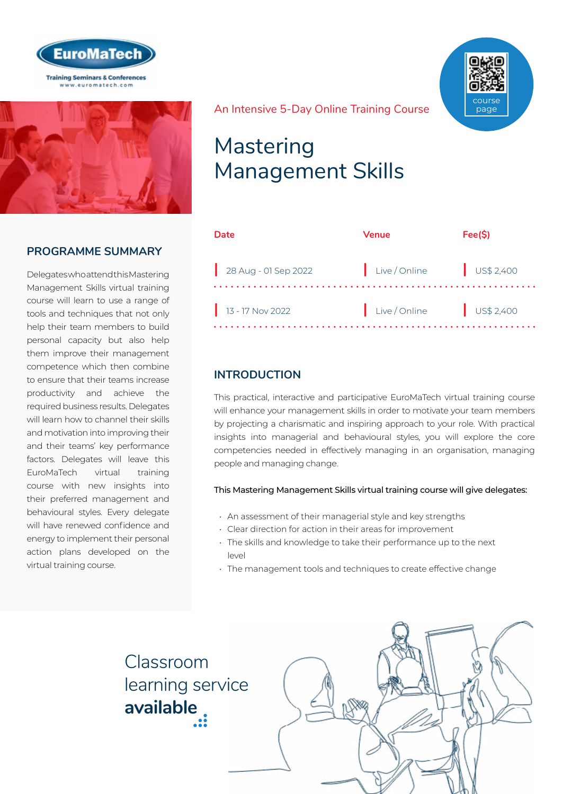



# **PROGRAMME SUMMARY**

Delegates who attend this Mastering Management Skills virtual training course will learn to use a range of tools and techniques that not only help their team members to build personal capacity but also help them improve their management competence which then combine to ensure that their teams increase productivity and achieve the required business results. Delegates will learn how to channel their skills and motivation into improving their and their teams' key performance factors. Delegates will leave this EuroMaTech virtual training course with new insights into their preferred management and behavioural styles. Every delegate will have renewed confidence and energy to implement their personal action plans developed on the virtual training course.

course page

## An Intensive 5-Day Online Training Course

# Mastering Management Skills

| Date                 | Venue                  | Fee(S) |
|----------------------|------------------------|--------|
| 28 Aug - 01 Sep 2022 | Live/Online US\$ 2,400 |        |
| $13 - 17$ Nov 2022   | Live/Online US\$ 2,400 |        |

# **INTRODUCTION**

This practical, interactive and participative EuroMaTech virtual training course will enhance your management skills in order to motivate your team members by projecting a charismatic and inspiring approach to your role. With practical insights into managerial and behavioural styles, you will explore the core competencies needed in effectively managing in an organisation, managing people and managing change.

### This Mastering Management Skills virtual training course will give delegates:

- An assessment of their managerial style and key strengths
- Clear direction for action in their areas for improvement
- The skills and knowledge to take their performance up to the next level
- The management tools and techniques to create effective change

Classroom [learning service](https://www.euromatech.com/seminars/mastering-management-skills/)  **available**

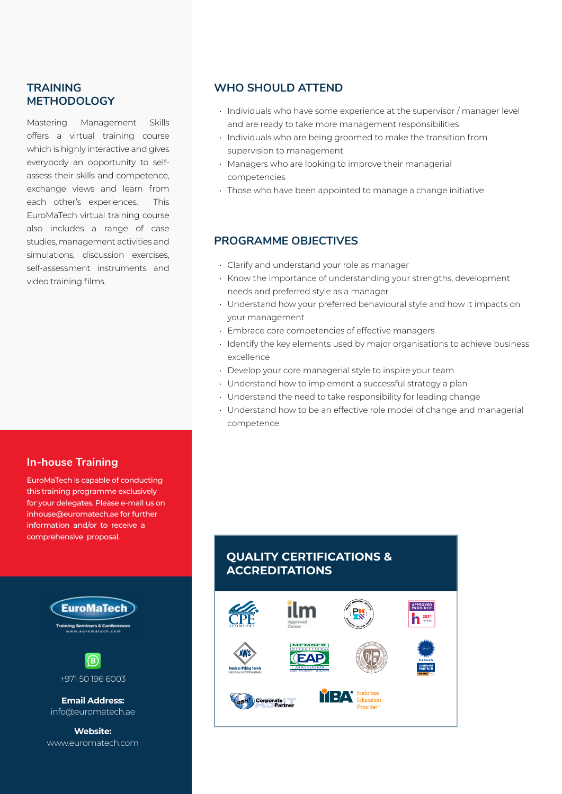# **TRAINING METHODOLOGY**

Mastering Management Skills offers a virtual training course which is highly interactive and gives everybody an opportunity to selfassess their skills and competence, exchange views and learn from each other's experiences. This EuroMaTech virtual training course also includes a range of case studies, management activities and simulations, discussion exercises, self-assessment instruments and video training films.

# **In-house Training**

EuroMaTech is capable of conducting this training programme exclusively for your delegates. Please e-mail us on inhouse@euromatech.ae for further information and/or to receive a comprehensive proposal.



www.euromatech.com

# **WHO SHOULD ATTEND**

- Individuals who have some experience at the supervisor / manager level and are ready to take more management responsibilities
- Individuals who are being groomed to make the transition from supervision to management
- Managers who are looking to improve their managerial competencies
- Those who have been appointed to manage a change initiative

# **PROGRAMME OBJECTIVES**

- Clarify and understand your role as manager
- Know the importance of understanding your strengths, development needs and preferred style as a manager
- Understand how your preferred behavioural style and how it impacts on your management
- Embrace core competencies of effective managers
- Identify the key elements used by major organisations to achieve business excellence
- Develop your core managerial style to inspire your team
- Understand how to implement a successful strategy a plan
- Understand the need to take responsibility for leading change
- Understand how to be an effective role model of change and managerial competence

# **QUALITY CERTIFICATIONS & ACCREDITATIONS**

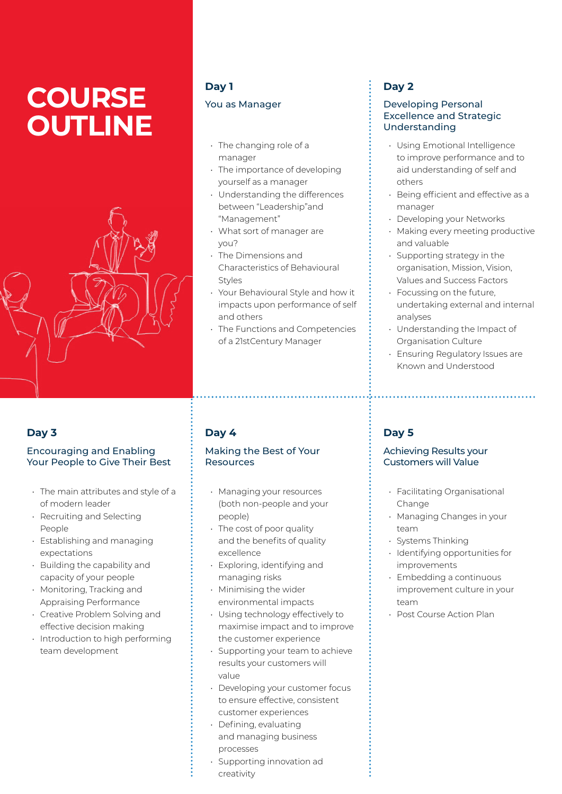# **COURSE OUTLINE**



# **Day 3**

## Encouraging and Enabling Your People to Give Their Best

- The main attributes and style of a of modern leader
- Recruiting and Selecting People
- Establishing and managing expectations
- Building the capability and capacity of your people
- Monitoring, Tracking and Appraising Performance
- Creative Problem Solving and effective decision making
- Introduction to high performing team development

# **Day 1** You as Manager

- The changing role of a manager
- The importance of developing yourself as a manager
- Understanding the differences between "Leadership"and "Management"
- What sort of manager are you?
- The Dimensions and Characteristics of Behavioural Styles
- Your Behavioural Style and how it impacts upon performance of self and others
- The Functions and Competencies of a 21stCentury Manager

# **Day 4**

# Making the Best of Your Resources

- Managing your resources (both non-people and your people)
- The cost of poor quality and the benefits of quality excellence
- Exploring, identifying and managing risks
- Minimising the wider environmental impacts
- Using technology effectively to maximise impact and to improve the customer experience
- Supporting your team to achieve results your customers will value
- Developing your customer focus to ensure effective, consistent customer experiences
- Defining, evaluating and managing business processes
- Supporting innovation ad creativity

# **Day 2**

# Developing Personal Excellence and Strategic Understanding

- Using Emotional Intelligence to improve performance and to aid understanding of self and others
- Being efficient and effective as a manager
- Developing your Networks
- Making every meeting productive and valuable
- Supporting strategy in the organisation, Mission, Vision, Values and Success Factors
- Focussing on the future, undertaking external and internal analyses
- Understanding the Impact of Organisation Culture
- Ensuring Regulatory Issues are Known and Understood

# **Day 5**

# Achieving Results your Customers will Value

- Facilitating Organisational Change
- Managing Changes in your team
- Systems Thinking
- Identifying opportunities for improvements
- Embedding a continuous improvement culture in your team
- Post Course Action Plan